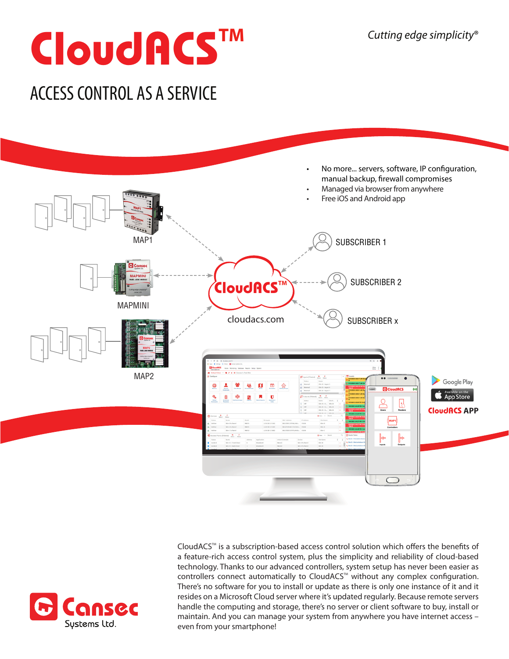# **CloudACSTM**

### ACCESS CONTROL AS A SERVICE



ansec Sustems Ltd.

CloudACS<sup>™</sup> is a subscription-based access control solution which offers the benefits of a feature-rich access control system, plus the simplicity and reliability of cloud-based technology. Thanks to our advanced controllers, system setup has never been easier as controllers connect automatically to CloudACS<sup>™</sup> without any complex configuration. There's no software for you to install or update as there is only one instance of it and it resides on a Microsoft Cloud server where it's updated regularly. Because remote servers handle the computing and storage, there's no server or client software to buy, install or maintain. And you can manage your system from anywhere you have internet access – even from your smartphone!